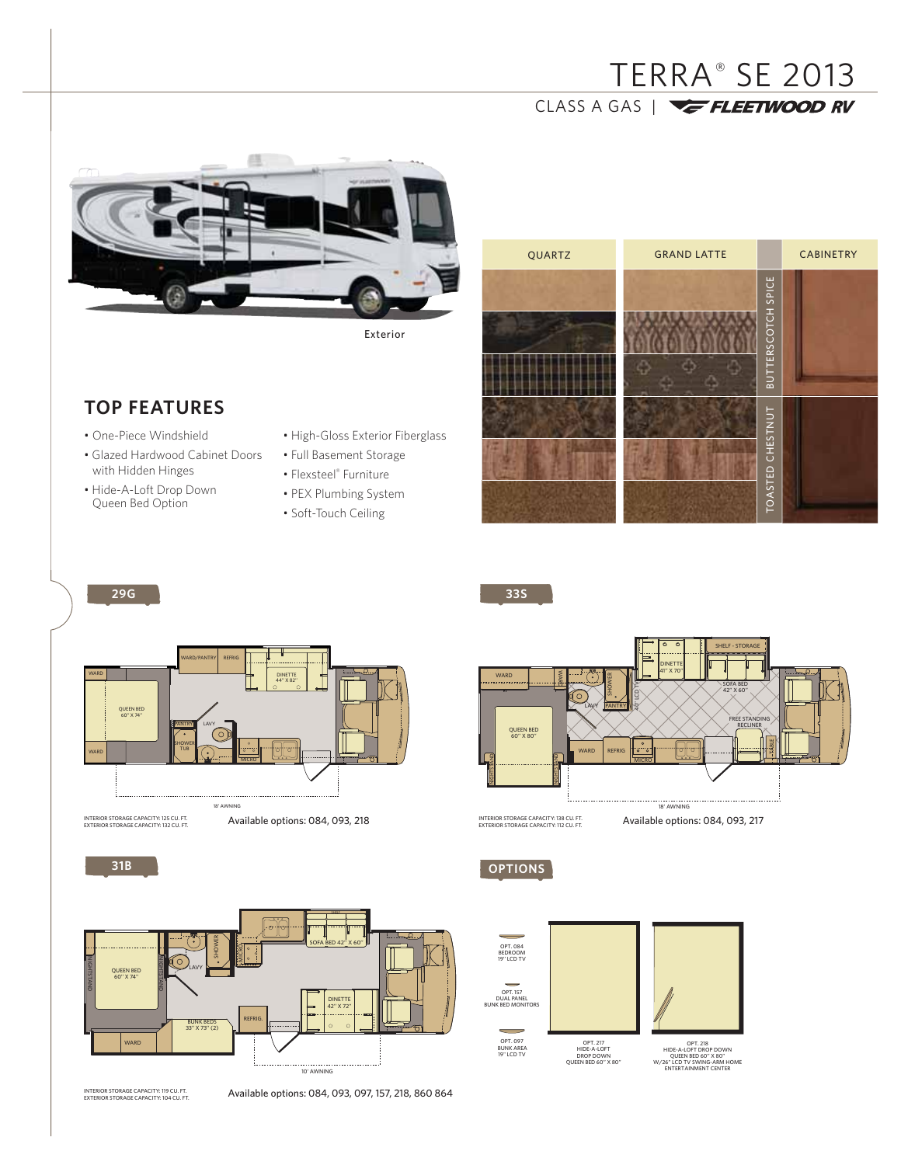# TERRA® SE 2013 CLASS A GAS | **VE FLEETWOOD RV**



Exterior

# **TOP FEATURES**

- One-Piece Windshield
- Glazed Hardwood Cabinet Doors with Hidden Hinges
- Hide-A-Loft Drop Down Queen Bed Option
- High-Gloss Exterior Fiberglass
- Full Basement Storage
- Flexsteel® Furniture
- PEX Plumbing System
- Soft-Touch Ceiling

**29G 33S**

| QUARTZ | <b>GRAND LATTE</b> |                    | <b>CABINETRY</b> |  |
|--------|--------------------|--------------------|------------------|--|
|        |                    | BUTTERSCOTCH SPICE |                  |  |
|        |                    | TOASTED CHESTNUT   |                  |  |



INTERIOR STORAGE CAPACITY: 125 CU. FT.<br>EXTERIOR STORAGE CAPACITY: 132 CU. FT.

**31B**

NIGHTSTAND

Available options: 084, 093, 218



DINETTE 41'' X 70'' SHELF - STORAGE

INTERIOR STORAGE CAPACITY: 138 CU. FT.<br>EXTERIOR STORAGE CAPACITY: 112 CU. FT.

Available options: 084, 093, 217

**OPTIONS**

WARD





Available options: 084, 093, 097, 157, 218, 860 864







OPT. 218<br>HIDE-A-LOFT DROP DOWN<br>QUEEN BED 60" X 80"<br>W/26" LCD TV SWING-ARM HOME<br>ENTERTAINMENT CENTER